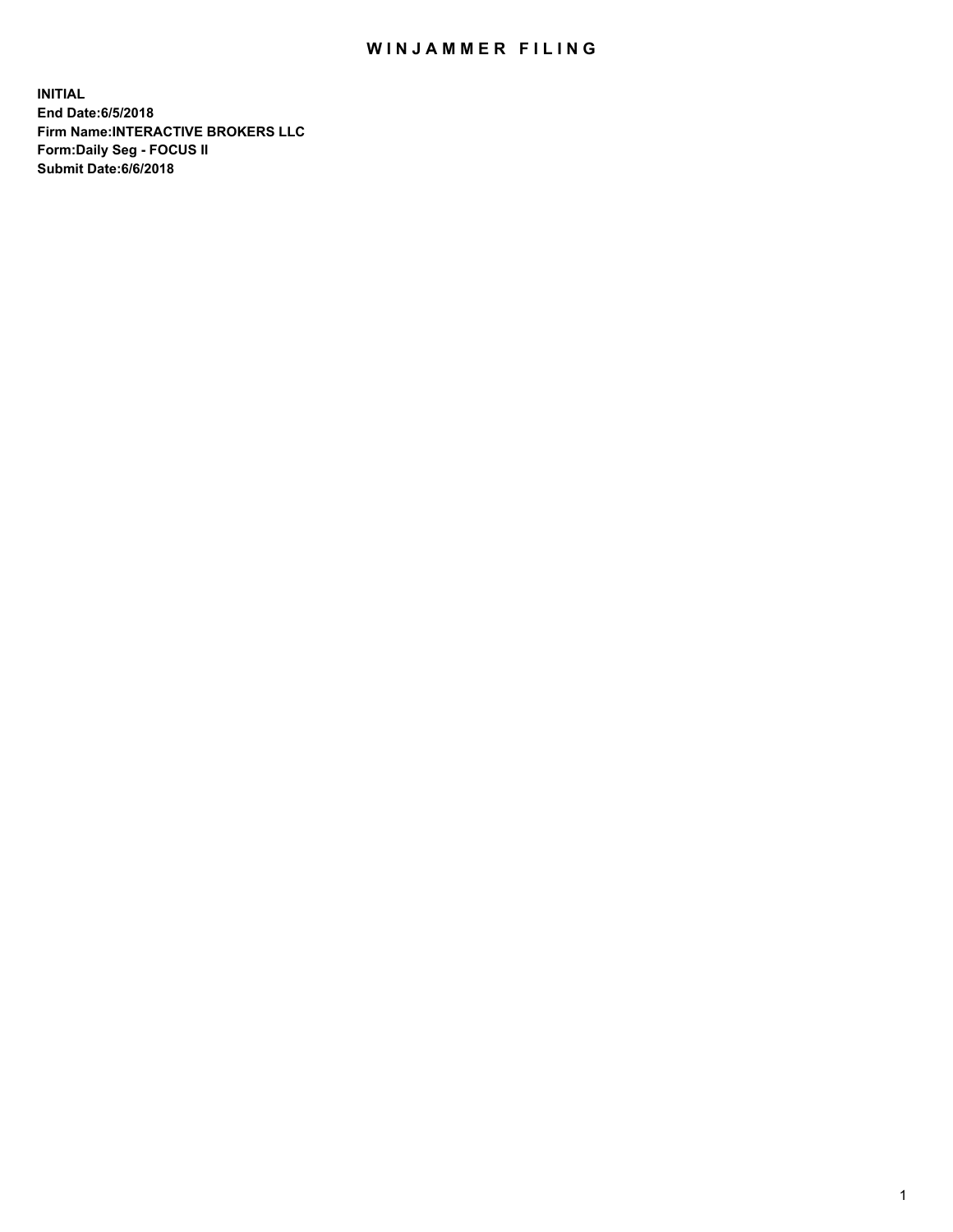## WIN JAMMER FILING

**INITIAL End Date:6/5/2018 Firm Name:INTERACTIVE BROKERS LLC Form:Daily Seg - FOCUS II Submit Date:6/6/2018**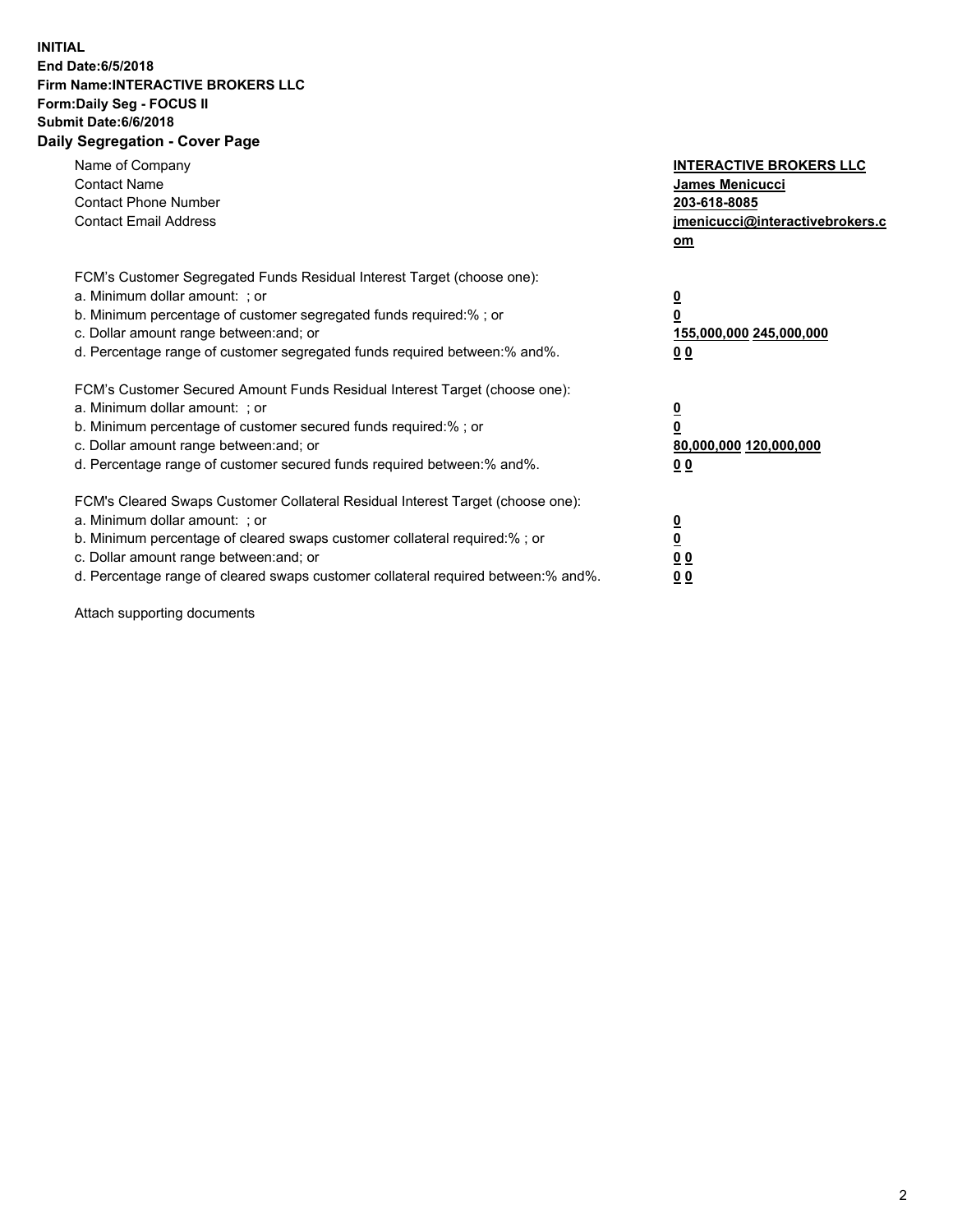## **INITIAL End Date:6/5/2018 Firm Name:INTERACTIVE BROKERS LLC Form:Daily Seg - FOCUS II Submit Date:6/6/2018 Daily Segregation - Cover Page**

| Name of Company<br><b>Contact Name</b><br><b>Contact Phone Number</b><br><b>Contact Email Address</b>                                                                                                                                                                                                                          | <b>INTERACTIVE BROKERS LLC</b><br>James Menicucci<br>203-618-8085<br>jmenicucci@interactivebrokers.c<br>om |
|--------------------------------------------------------------------------------------------------------------------------------------------------------------------------------------------------------------------------------------------------------------------------------------------------------------------------------|------------------------------------------------------------------------------------------------------------|
| FCM's Customer Segregated Funds Residual Interest Target (choose one):<br>a. Minimum dollar amount: ; or<br>b. Minimum percentage of customer segregated funds required:%; or<br>c. Dollar amount range between: and; or<br>d. Percentage range of customer segregated funds required between:% and%.                          | $\overline{\mathbf{0}}$<br>$\overline{\mathbf{0}}$<br>155,000,000 245,000,000<br>00                        |
| FCM's Customer Secured Amount Funds Residual Interest Target (choose one):<br>a. Minimum dollar amount: ; or<br>b. Minimum percentage of customer secured funds required:%; or<br>c. Dollar amount range between: and; or<br>d. Percentage range of customer secured funds required between: % and %.                          | $\overline{\mathbf{0}}$<br>0<br>80,000,000 120,000,000<br>00                                               |
| FCM's Cleared Swaps Customer Collateral Residual Interest Target (choose one):<br>a. Minimum dollar amount: ; or<br>b. Minimum percentage of cleared swaps customer collateral required:% ; or<br>c. Dollar amount range between: and; or<br>d. Percentage range of cleared swaps customer collateral required between:% and%. | $\overline{\mathbf{0}}$<br>$\underline{\mathbf{0}}$<br>0 <sub>0</sub><br>0 <sub>0</sub>                    |

Attach supporting documents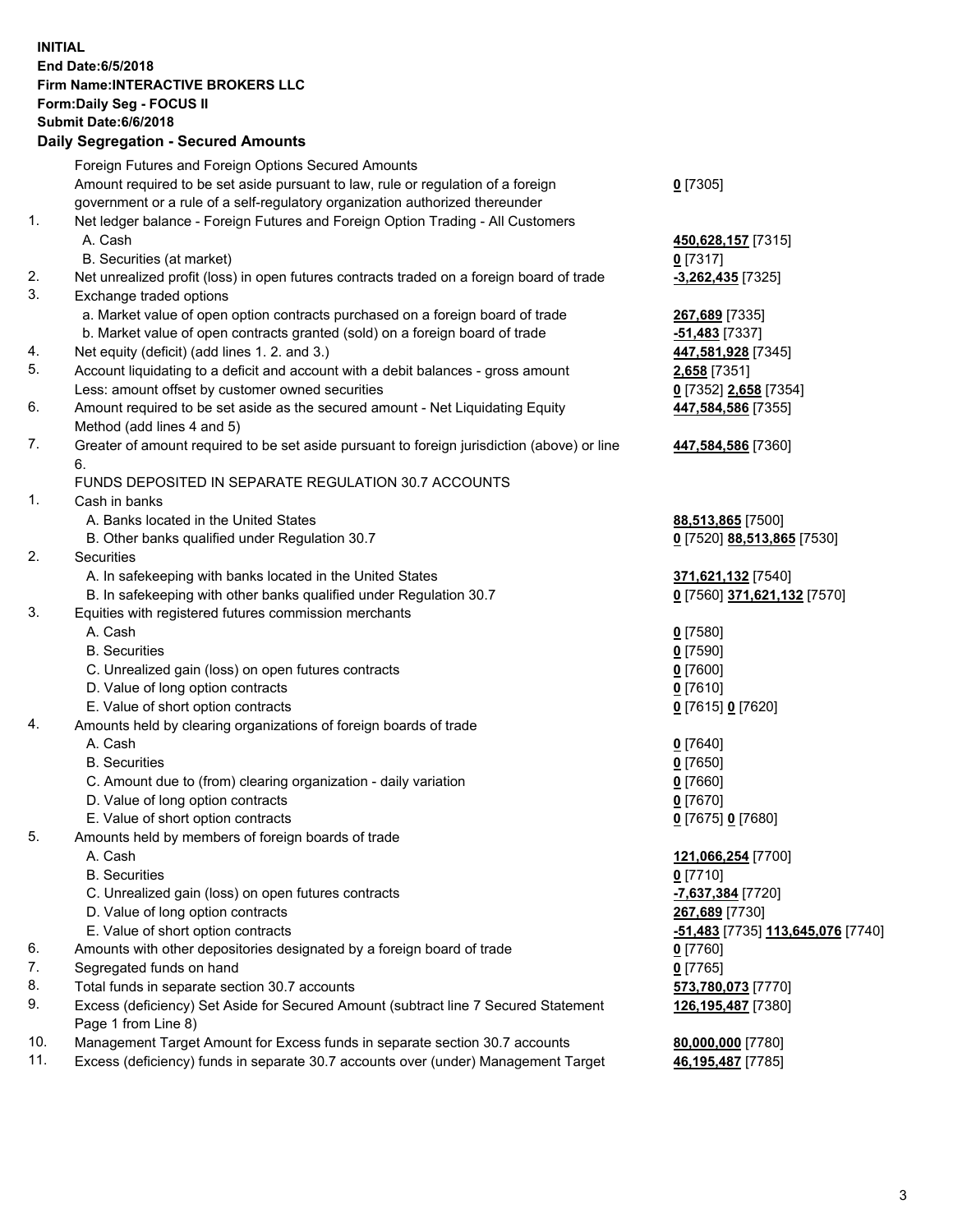## **INITIAL End Date:6/5/2018 Firm Name:INTERACTIVE BROKERS LLC Form:Daily Seg - FOCUS II Submit Date:6/6/2018 Daily Segregation - Secured Amounts**

|     | Foreign Futures and Foreign Options Secured Amounts                                         |                                   |
|-----|---------------------------------------------------------------------------------------------|-----------------------------------|
|     | Amount required to be set aside pursuant to law, rule or regulation of a foreign            | $0$ [7305]                        |
|     | government or a rule of a self-regulatory organization authorized thereunder                |                                   |
| 1.  | Net ledger balance - Foreign Futures and Foreign Option Trading - All Customers             |                                   |
|     | A. Cash                                                                                     | 450,628,157 [7315]                |
|     | B. Securities (at market)                                                                   | $0$ [7317]                        |
| 2.  | Net unrealized profit (loss) in open futures contracts traded on a foreign board of trade   | $-3,262,435$ [7325]               |
| 3.  | Exchange traded options                                                                     |                                   |
|     | a. Market value of open option contracts purchased on a foreign board of trade              |                                   |
|     |                                                                                             | 267,689 [7335]                    |
|     | b. Market value of open contracts granted (sold) on a foreign board of trade                | <b>-51,483</b> [7337]             |
| 4.  | Net equity (deficit) (add lines 1.2. and 3.)                                                | 447,581,928 [7345]                |
| 5.  | Account liquidating to a deficit and account with a debit balances - gross amount           | 2,658 [7351]                      |
|     | Less: amount offset by customer owned securities                                            | 0 [7352] 2,658 [7354]             |
| 6.  | Amount required to be set aside as the secured amount - Net Liquidating Equity              | 447,584,586 [7355]                |
|     | Method (add lines 4 and 5)                                                                  |                                   |
| 7.  | Greater of amount required to be set aside pursuant to foreign jurisdiction (above) or line | 447,584,586 [7360]                |
|     | 6.                                                                                          |                                   |
|     | FUNDS DEPOSITED IN SEPARATE REGULATION 30.7 ACCOUNTS                                        |                                   |
| 1.  | Cash in banks                                                                               |                                   |
|     | A. Banks located in the United States                                                       | 88,513,865 [7500]                 |
|     | B. Other banks qualified under Regulation 30.7                                              | 0 [7520] 88,513,865 [7530]        |
| 2.  | Securities                                                                                  |                                   |
|     | A. In safekeeping with banks located in the United States                                   | 371,621,132 [7540]                |
|     | B. In safekeeping with other banks qualified under Regulation 30.7                          | 0 [7560] 371,621,132 [7570]       |
| 3.  | Equities with registered futures commission merchants                                       |                                   |
|     | A. Cash                                                                                     | $0$ [7580]                        |
|     | <b>B.</b> Securities                                                                        | $0$ [7590]                        |
|     | C. Unrealized gain (loss) on open futures contracts                                         | $0$ [7600]                        |
|     | D. Value of long option contracts                                                           | $0$ [7610]                        |
|     | E. Value of short option contracts                                                          | 0 [7615] 0 [7620]                 |
| 4.  | Amounts held by clearing organizations of foreign boards of trade                           |                                   |
|     | A. Cash                                                                                     | $0$ [7640]                        |
|     | <b>B.</b> Securities                                                                        | $0$ [7650]                        |
|     |                                                                                             |                                   |
|     | C. Amount due to (from) clearing organization - daily variation                             | $0$ [7660]                        |
|     | D. Value of long option contracts                                                           | $0$ [7670]                        |
|     | E. Value of short option contracts                                                          | 0 [7675] 0 [7680]                 |
| 5.  | Amounts held by members of foreign boards of trade                                          |                                   |
|     | A. Cash                                                                                     | 121,066,254 [7700]                |
|     | <b>B.</b> Securities                                                                        | $0$ [7710]                        |
|     | C. Unrealized gain (loss) on open futures contracts                                         | -7,637,384 [7720]                 |
|     | D. Value of long option contracts                                                           | 267,689 [7730]                    |
|     | E. Value of short option contracts                                                          | -51,483 [7735] 113,645,076 [7740] |
| 6.  | Amounts with other depositories designated by a foreign board of trade                      | $0$ [7760]                        |
| 7.  | Segregated funds on hand                                                                    | $0$ [7765]                        |
| 8.  | Total funds in separate section 30.7 accounts                                               | 573,780,073 [7770]                |
| 9.  | Excess (deficiency) Set Aside for Secured Amount (subtract line 7 Secured Statement         | 126,195,487 [7380]                |
|     | Page 1 from Line 8)                                                                         |                                   |
| 10. | Management Target Amount for Excess funds in separate section 30.7 accounts                 | 80,000,000 [7780]                 |
| 11. | Excess (deficiency) funds in separate 30.7 accounts over (under) Management Target          | 46,195,487 [7785]                 |
|     |                                                                                             |                                   |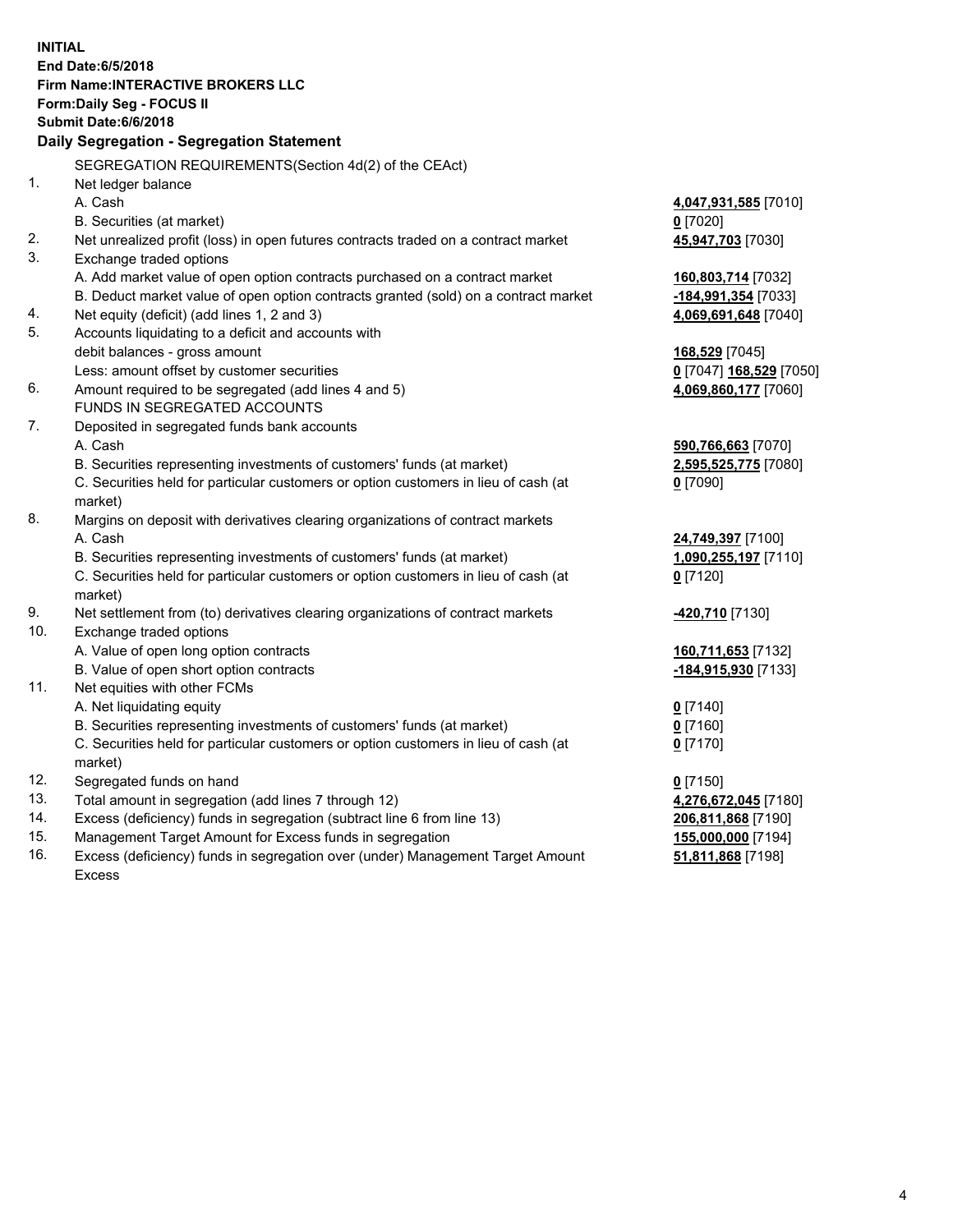**INITIAL End Date:6/5/2018 Firm Name:INTERACTIVE BROKERS LLC Form:Daily Seg - FOCUS II Submit Date:6/6/2018 Daily Segregation - Segregation Statement** SEGREGATION REQUIREMENTS(Section 4d(2) of the CEAct) 1. Net ledger balance A. Cash **4,047,931,585** [7010] B. Securities (at market) **0** [7020] 2. Net unrealized profit (loss) in open futures contracts traded on a contract market **45,947,703** [7030] 3. Exchange traded options A. Add market value of open option contracts purchased on a contract market **160,803,714** [7032] B. Deduct market value of open option contracts granted (sold) on a contract market **-184,991,354** [7033] 4. Net equity (deficit) (add lines 1, 2 and 3) **4,069,691,648** [7040] 5. Accounts liquidating to a deficit and accounts with debit balances - gross amount **168,529** [7045] Less: amount offset by customer securities **0** [7047] **168,529** [7050] 6. Amount required to be segregated (add lines 4 and 5) **4,069,860,177** [7060] FUNDS IN SEGREGATED ACCOUNTS 7. Deposited in segregated funds bank accounts A. Cash **590,766,663** [7070] B. Securities representing investments of customers' funds (at market) **2,595,525,775** [7080] C. Securities held for particular customers or option customers in lieu of cash (at market) **0** [7090] 8. Margins on deposit with derivatives clearing organizations of contract markets A. Cash **24,749,397** [7100] B. Securities representing investments of customers' funds (at market) **1,090,255,197** [7110] C. Securities held for particular customers or option customers in lieu of cash (at market) **0** [7120] 9. Net settlement from (to) derivatives clearing organizations of contract markets **-420,710** [7130] 10. Exchange traded options A. Value of open long option contracts **160,711,653** [7132] B. Value of open short option contracts **-184,915,930** [7133] 11. Net equities with other FCMs A. Net liquidating equity **0** [7140] B. Securities representing investments of customers' funds (at market) **0** [7160] C. Securities held for particular customers or option customers in lieu of cash (at market) **0** [7170] 12. Segregated funds on hand **0** [7150] 13. Total amount in segregation (add lines 7 through 12) **4,276,672,045** [7180] 14. Excess (deficiency) funds in segregation (subtract line 6 from line 13) **206,811,868** [7190] 15. Management Target Amount for Excess funds in segregation **155,000,000** [7194] **51,811,868** [7198]

16. Excess (deficiency) funds in segregation over (under) Management Target Amount Excess